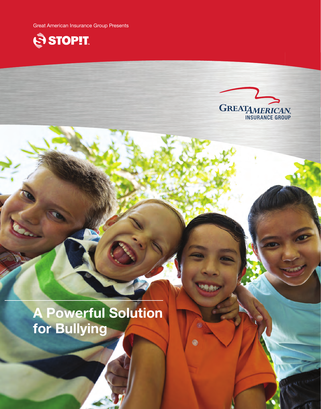Great American Insurance Group Presents





0

0

# A Powerful Solution for Bullying